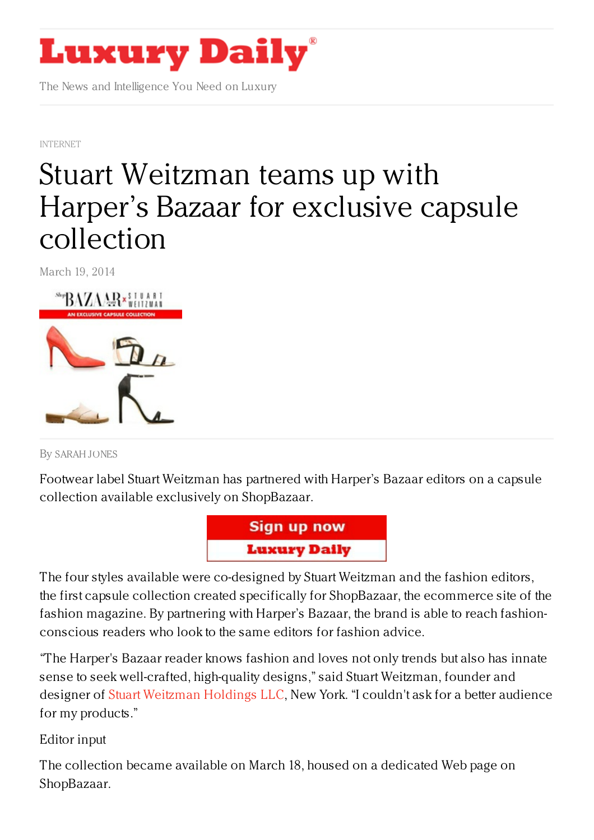

The News and Intelligence You Need on Luxury

[INTERNET](https://www.luxurydaily.com/category/news/internet-news/)

## Stuart [Weitzman](https://www.luxurydaily.com/stuart-weitzman-teams-up-with-harpers-bazaar-for-exclusive-capsule-collection/) teams up with Harper's Bazaar for exclusive capsule collection

March 19, 2014



By [SARAH](/author/sarah-jones) JONES

Footwear label Stuart Weitzman has partnered with Harper's Bazaar editors on a capsule collection available exclusively on ShopBazaar.



The four styles available were co-designed by Stuart Weitzman and the fashion editors, the first capsule collection created specifically for ShopBazaar, the ecommerce site of the fashion magazine. By partnering with Harper's Bazaar, the brand is able to reach fashionconscious readers who look to the same editors for fashion advice.

"The Harper's Bazaar reader knows fashion and loves not only trends but also has innate sense to seek well-crafted, high-quality designs," said Stuart Weitzman, founder and designer of Stuart [Weitzman](http://stuartweitzman.com) Holdings LLC, New York. "I couldn't ask for a better audience for my products."

Editor input

The collection became available on March 18, housed on a dedicated Web page on ShopBazaar.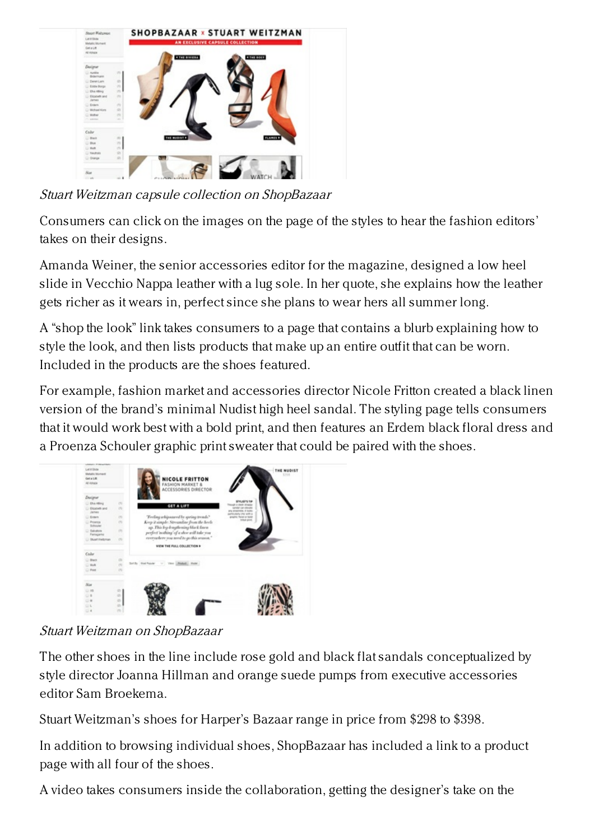

Stuart Weitzman capsule collection on ShopBazaar

Consumers can click on the images on the page of the styles to hear the fashion editors' takes on their designs.

Amanda Weiner, the senior accessories editor for the magazine, designed a low heel slide in Vecchio Nappa leather with a lug sole. In her quote, she explains how the leather gets richer as it wears in, perfect since she plans to wear hers all summer long.

A "shop the look" link takes consumers to a page that contains a blurb explaining how to style the look, and then lists products that make up an entire outfit that can be worn. Included in the products are the shoes featured.

For example, fashion market and accessories director Nicole Fritton created a black linen version of the brand's minimal Nudist high heel sandal. The styling page tells consumers that it would work best with a bold print, and then features an Erdem black floral dress and a Proenza Schouler graphic print sweater that could be paired with the shoes.



Stuart Weitzman on ShopBazaar

The other shoes in the line include rose gold and black flat sandals conceptualized by style director Joanna Hillman and orange suede pumps from executive accessories editor Sam Broekema.

Stuart Weitzman's shoes for Harper's Bazaar range in price from \$298 to \$398.

In addition to browsing individual shoes, ShopBazaar has included a link to a product page with all four of the shoes.

A video takes consumers inside the collaboration, getting the designer's take on the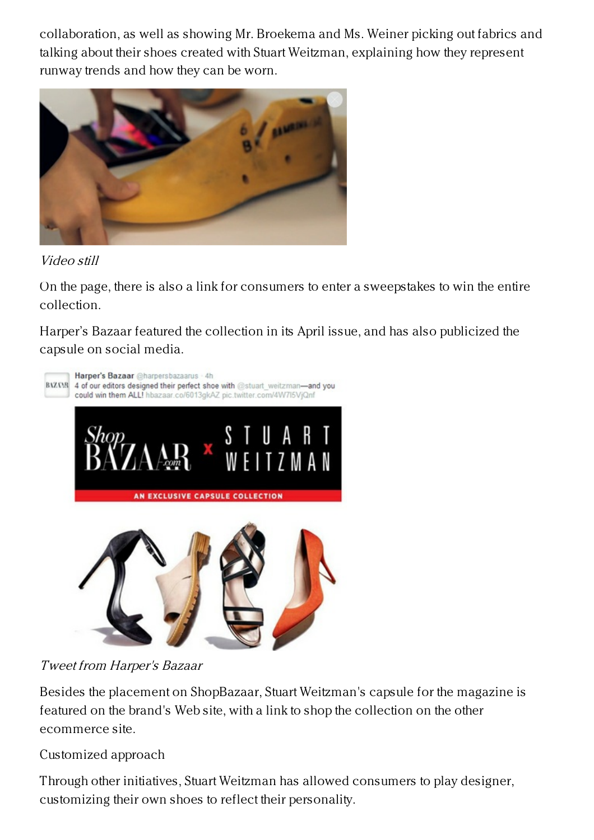collaboration, as well as showing Mr. Broekema and Ms. Weiner picking out fabrics and talking about their shoes created with Stuart Weitzman, explaining how they represent runway trends and how they can be worn.



Video still

On the page, there is also a link for consumers to enter a sweepstakes to win the entire collection.

Harper's Bazaar featured the collection in its April issue, and has also publicized the capsule on social media.



## Tweet from Harper's Bazaar

Besides the placement on ShopBazaar, Stuart Weitzman's capsule for the magazine is featured on the brand's Web site, with a link to shop the collection on the other ecommerce site.

Customized approach

Through other initiatives, Stuart Weitzman has allowed consumers to play designer, customizing their own shoes to reflect their personality.